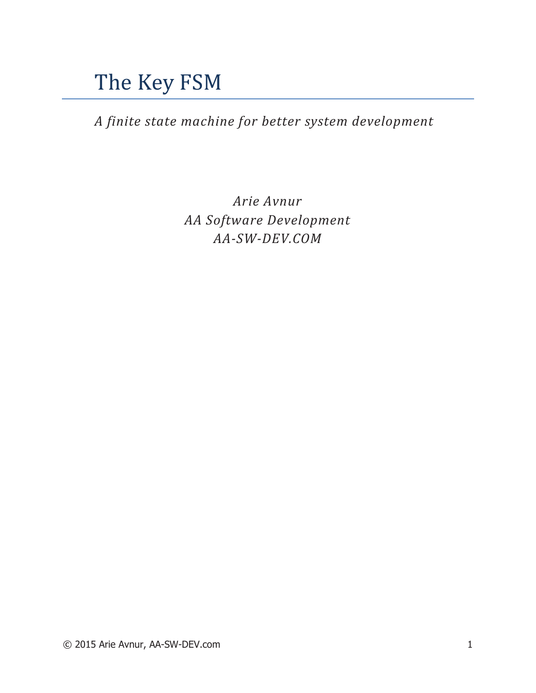# The Key FSM

*A finite state machine for better system development* 

*Arie Avnur AA Software Development AA-SW-DEV.COM*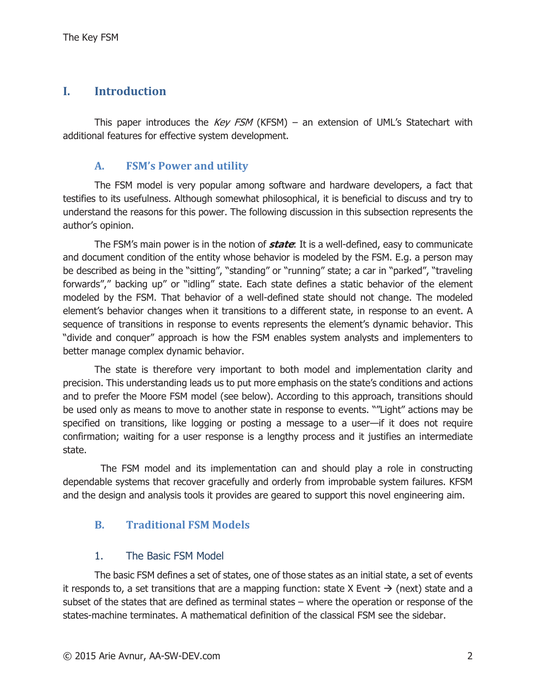## **I. Introduction**

This paper introduces the Key FSM (KFSM) – an extension of UML's Statechart with additional features for effective system development.

#### **A. FSM's Power and utility**

The FSM model is very popular among software and hardware developers, a fact that testifies to its usefulness. Although somewhat philosophical, it is beneficial to discuss and try to understand the reasons for this power. The following discussion in this subsection represents the author's opinion.

The FSM's main power is in the notion of **state**: It is a well-defined, easy to communicate and document condition of the entity whose behavior is modeled by the FSM. E.g. a person may be described as being in the "sitting", "standing" or "running" state; a car in "parked", "traveling forwards"," backing up" or "idling" state. Each state defines a static behavior of the element modeled by the FSM. That behavior of a well-defined state should not change. The modeled element's behavior changes when it transitions to a different state, in response to an event. A sequence of transitions in response to events represents the element's dynamic behavior. This "divide and conquer" approach is how the FSM enables system analysts and implementers to better manage complex dynamic behavior.

The state is therefore very important to both model and implementation clarity and precision. This understanding leads us to put more emphasis on the state's conditions and actions and to prefer the Moore FSM model (see below). According to this approach, transitions should be used only as means to move to another state in response to events. ""Light" actions may be specified on transitions, like logging or posting a message to a user—if it does not require confirmation; waiting for a user response is a lengthy process and it justifies an intermediate state.

 The FSM model and its implementation can and should play a role in constructing dependable systems that recover gracefully and orderly from improbable system failures. KFSM and the design and analysis tools it provides are geared to support this novel engineering aim.

#### **B. Traditional FSM Models**

#### 1. The Basic FSM Model

The basic FSM defines a set of states, one of those states as an initial state, a set of events it responds to, a set transitions that are a mapping function: state X Event  $\rightarrow$  (next) state and a subset of the states that are defined as terminal states – where the operation or response of the states-machine terminates. A mathematical definition of the classical FSM see the sidebar.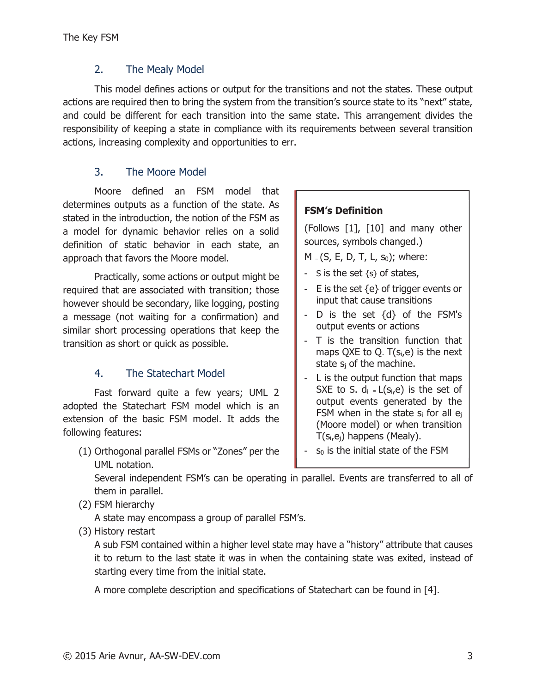#### 2. The Mealy Model

This model defines actions or output for the transitions and not the states. These output actions are required then to bring the system from the transition's source state to its "next" state, and could be different for each transition into the same state. This arrangement divides the responsibility of keeping a state in compliance with its requirements between several transition actions, increasing complexity and opportunities to err.

# 3. The Moore Model

Moore defined an FSM model that determines outputs as a function of the state. As stated in the introduction, the notion of the FSM as a model for dynamic behavior relies on a solid definition of static behavior in each state, an approach that favors the Moore model.

Practically, some actions or output might be required that are associated with transition; those however should be secondary, like logging, posting a message (not waiting for a confirmation) and similar short processing operations that keep the transition as short or quick as possible.

# 4. The Statechart Model

Fast forward quite a few years; UML 2 adopted the Statechart FSM model which is an extension of the basic FSM model. It adds the following features:

(1) Orthogonal parallel FSMs or "Zones" per the UML notation.

#### **FSM's Definition**

(Follows [1], [10] and many other sources, symbols changed.)

 $M = (S, E, D, T, L, s_0)$ ; where:

- S is the set  $\{s\}$  of states,
- E is the set  $\{e\}$  of trigger events or input that cause transitions
- D is the set  $\{d\}$  of the FSM's output events or actions
- T is the transition function that maps QXE to Q.  $T(s_i,e)$  is the next state  $s_i$  of the machine.
- L is the output function that maps SXE to S.  $d_i = L(s_i,e)$  is the set of output events generated by the FSM when in the state  $s_i$  for all  $e_i$ (Moore model) or when transition  $T(s_i,e_j)$  happens (Mealy).
- $s<sub>0</sub>$  is the initial state of the FSM

Several independent FSM's can be operating in parallel. Events are transferred to all of them in parallel.

#### (2) FSM hierarchy

A state may encompass a group of parallel FSM's.

(3) History restart

A sub FSM contained within a higher level state may have a "history" attribute that causes it to return to the last state it was in when the containing state was exited, instead of starting every time from the initial state.

A more complete description and specifications of Statechart can be found in [4].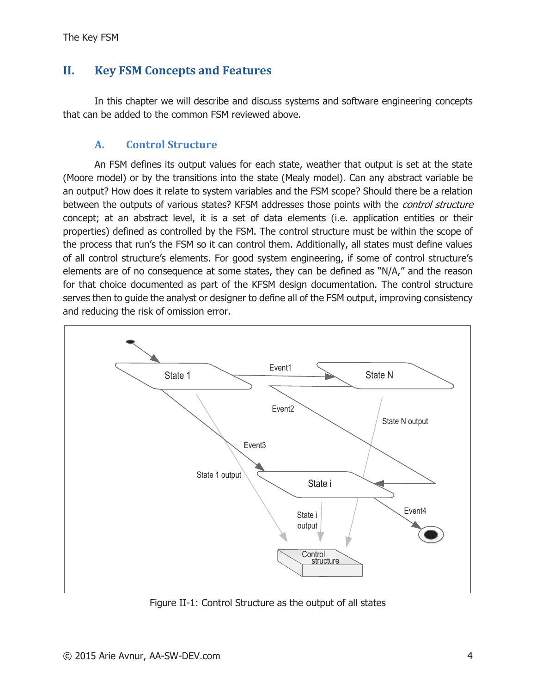# **II. Key FSM Concepts and Features**

In this chapter we will describe and discuss systems and software engineering concepts that can be added to the common FSM reviewed above.

#### **A. Control Structure**

An FSM defines its output values for each state, weather that output is set at the state (Moore model) or by the transitions into the state (Mealy model). Can any abstract variable be an output? How does it relate to system variables and the FSM scope? Should there be a relation between the outputs of various states? KFSM addresses those points with the *control structure* concept; at an abstract level, it is a set of data elements (i.e. application entities or their properties) defined as controlled by the FSM. The control structure must be within the scope of the process that run's the FSM so it can control them. Additionally, all states must define values of all control structure's elements. For good system engineering, if some of control structure's elements are of no consequence at some states, they can be defined as "N/A," and the reason for that choice documented as part of the KFSM design documentation. The control structure serves then to guide the analyst or designer to define all of the FSM output, improving consistency and reducing the risk of omission error.



Figure II-1: Control Structure as the output of all states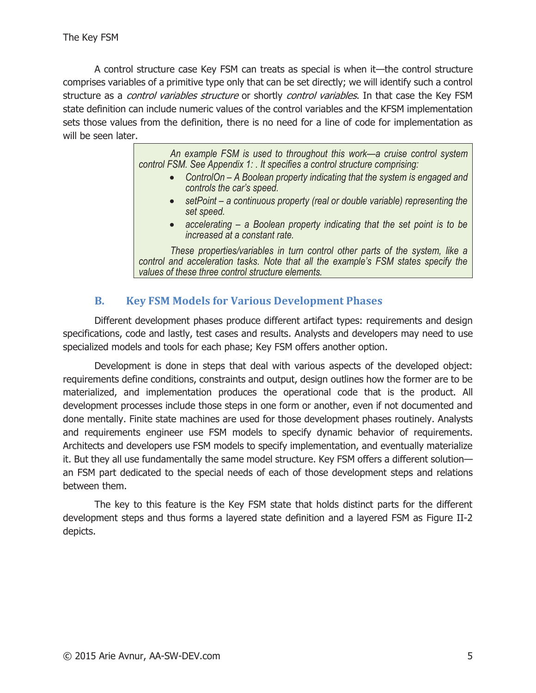A control structure case Key FSM can treats as special is when it—the control structure comprises variables of a primitive type only that can be set directly; we will identify such a control structure as a *control variables structure* or shortly *control variables*. In that case the Key FSM state definition can include numeric values of the control variables and the KFSM implementation sets those values from the definition, there is no need for a line of code for implementation as will be seen later.

> *An example FSM is used to throughout this work—a cruise control system control FSM. See Appendix 1: . It specifies a control structure comprising:*

- ControlOn A Boolean property indicating that the system is engaged and *controls the car's speed.*
- setPoint a continuous property (real or double variable) representing the *set speed.*
- accelerating a Boolean property indicating that the set point is to be *increased at a constant rate.*

*These properties/variables in turn control other parts of the system, like a control and acceleration tasks. Note that all the example's FSM states specify the values of these three control structure elements.* 

# **B. Key FSM Models for Various Development Phases**

Different development phases produce different artifact types: requirements and design specifications, code and lastly, test cases and results. Analysts and developers may need to use specialized models and tools for each phase; Key FSM offers another option.

Development is done in steps that deal with various aspects of the developed object: requirements define conditions, constraints and output, design outlines how the former are to be materialized, and implementation produces the operational code that is the product. All development processes include those steps in one form or another, even if not documented and done mentally. Finite state machines are used for those development phases routinely. Analysts and requirements engineer use FSM models to specify dynamic behavior of requirements. Architects and developers use FSM models to specify implementation, and eventually materialize it. But they all use fundamentally the same model structure. Key FSM offers a different solution an FSM part dedicated to the special needs of each of those development steps and relations between them.

The key to this feature is the Key FSM state that holds distinct parts for the different development steps and thus forms a layered state definition and a layered FSM as Figure II-2 depicts.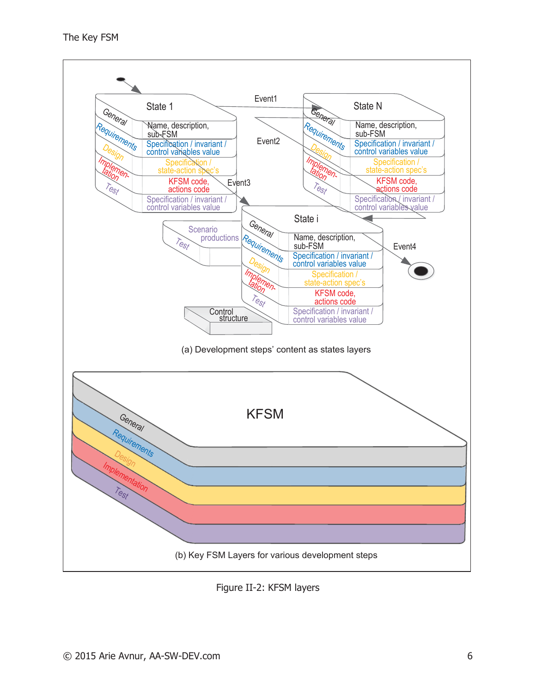

Figure II-2: KFSM layers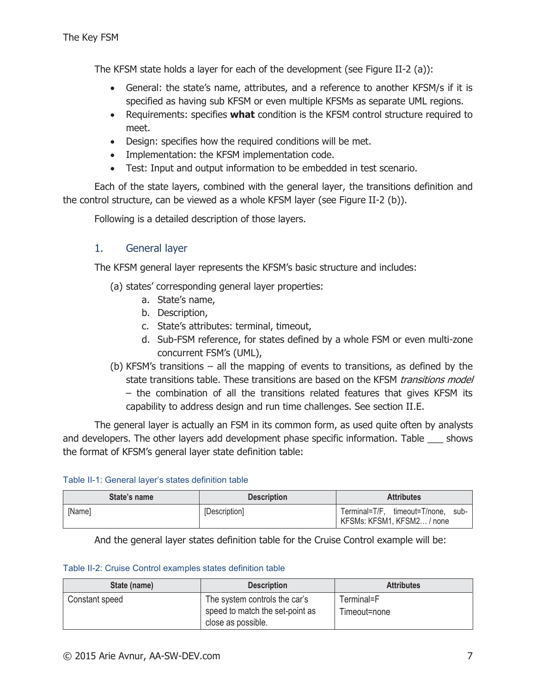The KFSM state holds a layer for each of the development (see Figure II-2 (a)):

- General: the state's name, attributes, and a reference to another KFSM/s if it is specified as having sub KFSM or even multiple KFSMs as separate UML regions.
- Requirements: specifies **what** condition is the KFSM control structure required to meet.
- Design: specifies how the required conditions will be met.
- Implementation: the KFSM implementation code.
- Test: Input and output information to be embedded in test scenario.

Each of the state layers, combined with the general layer, the transitions definition and the control structure, can be viewed as a whole KFSM layer (see Figure II-2 (b)).

Following is a detailed description of those layers.

## 1. General layer

The KFSM general layer represents the KFSM's basic structure and includes:

- (a) states' corresponding general layer properties:
	- a. State's name,
	- b. Description,
	- c. State's attributes: terminal, timeout,
	- d. Sub-FSM reference, for states defined by a whole FSM or even multi-zone concurrent FSM's (UML),
- (b) KFSM's transitions all the mapping of events to transitions, as defined by the state transitions table. These transitions are based on the KFSM *transitions model* – the combination of all the transitions related features that gives KFSM its capability to address design and run time challenges. See section II.E.

The general layer is actually an FSM in its common form, as used quite often by analysts and developers. The other layers add development phase specific information. Table shows the format of KFSM's general layer state definition table:

| Table II-1: General layer's states definition table |
|-----------------------------------------------------|
|-----------------------------------------------------|

| State's name | <b>Description</b> | <b>Attributes</b>                                                |
|--------------|--------------------|------------------------------------------------------------------|
| [Name]       | [Description]      | Terminal=T/F, timeout=T/none, sub-<br>KFSMs: KFSM1, KFSM2 / none |

And the general layer states definition table for the Cruise Control example will be:

#### Table II-2: Cruise Control examples states definition table

| State (name)   | <b>Description</b>                                                                     | <b>Attributes</b>          |
|----------------|----------------------------------------------------------------------------------------|----------------------------|
| Constant speed | The system controls the car's<br>speed to match the set-point as<br>close as possible. | Terminal=F<br>Timeout=none |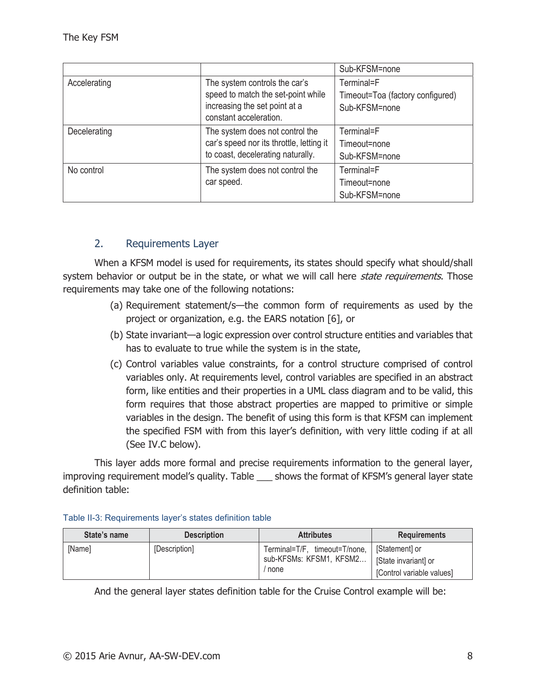|              |                                                                                                                                | Sub-KFSM=none                                                   |
|--------------|--------------------------------------------------------------------------------------------------------------------------------|-----------------------------------------------------------------|
| Accelerating | The system controls the car's<br>speed to match the set-point while<br>increasing the set point at a<br>constant acceleration. | Terminal=F<br>Timeout=Toa (factory configured)<br>Sub-KFSM=none |
| Decelerating | The system does not control the<br>car's speed nor its throttle, letting it<br>to coast, decelerating naturally.               | Terminal=F<br>Timeout=none<br>Sub-KFSM=none                     |
| No control   | The system does not control the<br>car speed.                                                                                  | Terminal=F<br>Timeout=none<br>Sub-KFSM=none                     |

#### 2. Requirements Layer

When a KFSM model is used for requirements, its states should specify what should/shall system behavior or output be in the state, or what we will call here *state requirements*. Those requirements may take one of the following notations:

- (a) Requirement statement/s—the common form of requirements as used by the project or organization, e.g. the EARS notation [6], or
- (b) State invariant—a logic expression over control structure entities and variables that has to evaluate to true while the system is in the state,
- (c) Control variables value constraints, for a control structure comprised of control variables only. At requirements level, control variables are specified in an abstract form, like entities and their properties in a UML class diagram and to be valid, this form requires that those abstract properties are mapped to primitive or simple variables in the design. The benefit of using this form is that KFSM can implement the specified FSM with from this layer's definition, with very little coding if at all (See IV.C below).

This layer adds more formal and precise requirements information to the general layer, improving requirement model's quality. Table \_\_\_ shows the format of KFSM's general layer state definition table:

| State's name | <b>Description</b> | <b>Attributes</b>                                                | <b>Requirements</b>                                                |
|--------------|--------------------|------------------------------------------------------------------|--------------------------------------------------------------------|
| [Name]       | [Description]      | Terminal=T/F, timeout=T/none,<br>sub-KFSMs: KFSM1, KFSM2<br>none | [Statement] or<br>State invariant] or<br>[Control variable values] |

#### Table II-3: Requirements layer's states definition table

And the general layer states definition table for the Cruise Control example will be: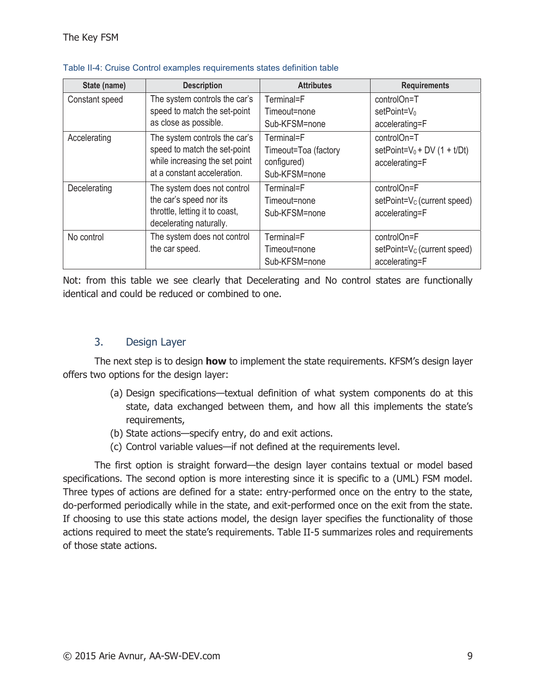| State (name)                                | <b>Description</b>                                        | <b>Attributes</b>    | <b>Requirements</b>                     |
|---------------------------------------------|-----------------------------------------------------------|----------------------|-----------------------------------------|
| Constant speed                              | The system controls the car's                             | Terminal=F           | controlOn=T                             |
|                                             | speed to match the set-point                              | Timeout=none         | $setPoint=V_0$                          |
|                                             | as close as possible.                                     | Sub-KFSM=none        | accelerating=F                          |
| Accelerating                                | The system controls the car's                             | Terminal=F           | controlOn=T                             |
|                                             | speed to match the set-point                              | Timeout=Toa (factory | setPoint= $V_0$ + DV (1 + t/Dt)         |
|                                             | while increasing the set point                            | configured)          | accelerating=F                          |
|                                             | at a constant acceleration.                               | Sub-KFSM=none        |                                         |
| Decelerating<br>The system does not control |                                                           | Terminal=F           | controlOn=F                             |
|                                             | the car's speed nor its                                   | Timeout=none         | setPoint=V <sub>c</sub> (current speed) |
|                                             | throttle, letting it to coast,<br>decelerating naturally. | Sub-KFSM=none        | accelerating=F                          |
| No control                                  | The system does not control                               | Terminal=F           | controlOn=F                             |
|                                             | the car speed.                                            |                      |                                         |
|                                             |                                                           | Timeout=none         | $setPoint=V_C$ (current speed)          |
|                                             |                                                           | Sub-KFSM=none        | accelerating=F                          |

#### Table II-4: Cruise Control examples requirements states definition table

Not: from this table we see clearly that Decelerating and No control states are functionally identical and could be reduced or combined to one.

#### 3. Design Layer

The next step is to design **how** to implement the state requirements. KFSM's design layer offers two options for the design layer:

- (a) Design specifications—textual definition of what system components do at this state, data exchanged between them, and how all this implements the state's requirements,
- (b) State actions—specify entry, do and exit actions.
- (c) Control variable values—if not defined at the requirements level.

The first option is straight forward—the design layer contains textual or model based specifications. The second option is more interesting since it is specific to a (UML) FSM model. Three types of actions are defined for a state: entry-performed once on the entry to the state, do-performed periodically while in the state, and exit-performed once on the exit from the state. If choosing to use this state actions model, the design layer specifies the functionality of those actions required to meet the state's requirements. Table II-5 summarizes roles and requirements of those state actions.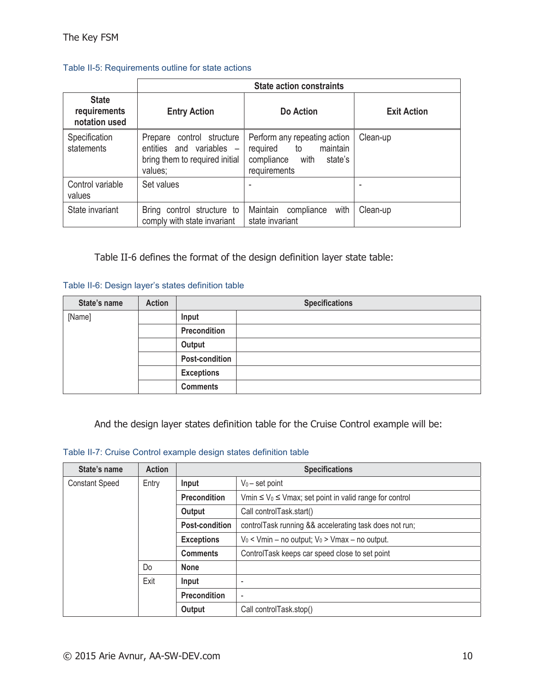#### Table II-5: Requirements outline for state actions

|                                               | <b>State action constraints</b>                                                                       |                                                                                                             |                    |  |  |  |
|-----------------------------------------------|-------------------------------------------------------------------------------------------------------|-------------------------------------------------------------------------------------------------------------|--------------------|--|--|--|
| <b>State</b><br>requirements<br>notation used | <b>Entry Action</b>                                                                                   | Do Action                                                                                                   | <b>Exit Action</b> |  |  |  |
| Specification<br>statements                   | control structure<br>Prepare<br>entities and variables -<br>bring them to required initial<br>values; | Perform any repeating action<br>maintain<br>required<br>to<br>compliance<br>with<br>state's<br>requirements | Clean-up           |  |  |  |
| Control variable<br>values                    | Set values                                                                                            |                                                                                                             |                    |  |  |  |
| State invariant                               | Bring control structure to<br>comply with state invariant                                             | Maintain<br>with<br>compliance<br>state invariant                                                           | Clean-up           |  |  |  |

Table II-6 defines the format of the design definition layer state table:

#### Table II-6: Design layer's states definition table

| State's name | <b>Action</b> | <b>Specifications</b> |  |
|--------------|---------------|-----------------------|--|
| [Name]       |               | Input                 |  |
|              |               | Precondition          |  |
|              |               | Output                |  |
|              |               | Post-condition        |  |
|              |               | <b>Exceptions</b>     |  |
|              |               | <b>Comments</b>       |  |

And the design layer states definition table for the Cruise Control example will be:

#### Table II-7: Cruise Control example design states definition table

| State's name          | <b>Action</b> | <b>Specifications</b>                                                                               |                                                        |  |
|-----------------------|---------------|-----------------------------------------------------------------------------------------------------|--------------------------------------------------------|--|
| <b>Constant Speed</b> | Entry         | $V_0$ – set point<br>Input                                                                          |                                                        |  |
|                       |               | Vmin $\leq$ V <sub>0</sub> $\leq$ Vmax; set point in valid range for control<br><b>Precondition</b> |                                                        |  |
|                       |               | Call controlTask.start()<br>Output                                                                  |                                                        |  |
|                       |               | <b>Post-condition</b>                                                                               | controlTask running && accelerating task does not run; |  |
|                       |               | $V_0$ < Vmin – no output; $V_0$ > Vmax – no output.<br><b>Exceptions</b>                            |                                                        |  |
|                       |               | ControlTask keeps car speed close to set point<br><b>Comments</b>                                   |                                                        |  |
|                       | Do            | <b>None</b>                                                                                         |                                                        |  |
|                       | Exit          | Input<br>-                                                                                          |                                                        |  |
|                       |               | <b>Precondition</b><br>$\overline{\phantom{a}}$                                                     |                                                        |  |
|                       |               | Output<br>Call controlTask.stop()                                                                   |                                                        |  |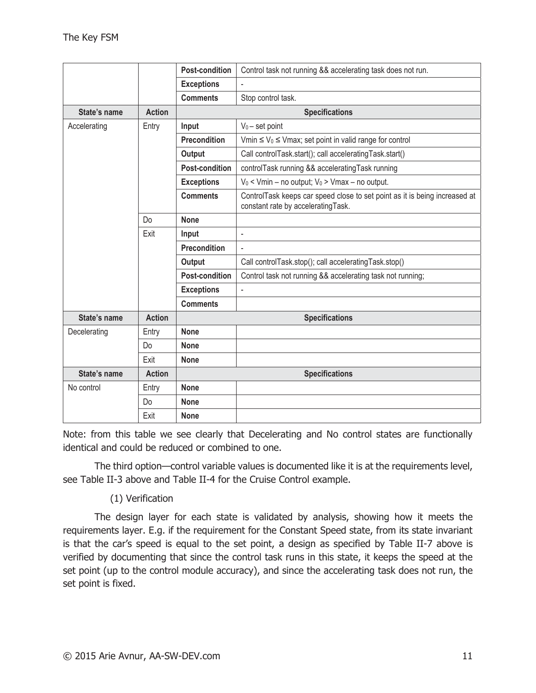|              |               | <b>Post-condition</b><br>Control task not running && accelerating task does not run.                |                                                                                                                   |  |
|--------------|---------------|-----------------------------------------------------------------------------------------------------|-------------------------------------------------------------------------------------------------------------------|--|
|              |               | <b>Exceptions</b><br>÷,                                                                             |                                                                                                                   |  |
|              |               | <b>Comments</b><br>Stop control task.                                                               |                                                                                                                   |  |
| State's name | <b>Action</b> | <b>Specifications</b>                                                                               |                                                                                                                   |  |
| Accelerating | Entry         | $V_0$ – set point<br>Input                                                                          |                                                                                                                   |  |
|              |               | <b>Precondition</b><br>Vmin $\leq$ V <sub>0</sub> $\leq$ Vmax; set point in valid range for control |                                                                                                                   |  |
|              |               | Output                                                                                              | Call controlTask.start(); call acceleratingTask.start()                                                           |  |
|              |               | <b>Post-condition</b>                                                                               | controlTask running && acceleratingTask running                                                                   |  |
|              |               | <b>Exceptions</b>                                                                                   | $V_0$ < Vmin – no output; $V_0$ > Vmax – no output.                                                               |  |
|              |               | <b>Comments</b>                                                                                     | ControlTask keeps car speed close to set point as it is being increased at<br>constant rate by accelerating Task. |  |
|              | Do            | <b>None</b>                                                                                         |                                                                                                                   |  |
|              | Exit          | Input<br>÷,                                                                                         |                                                                                                                   |  |
|              |               | <b>Precondition</b><br>L.                                                                           |                                                                                                                   |  |
|              |               | Call controlTask.stop(); call acceleratingTask.stop()<br>Output                                     |                                                                                                                   |  |
|              |               | <b>Post-condition</b><br>Control task not running && accelerating task not running;                 |                                                                                                                   |  |
|              |               | <b>Exceptions</b>                                                                                   | ÷,                                                                                                                |  |
|              |               | <b>Comments</b>                                                                                     |                                                                                                                   |  |
| State's name | <b>Action</b> |                                                                                                     | <b>Specifications</b>                                                                                             |  |
| Decelerating | Entry         | <b>None</b>                                                                                         |                                                                                                                   |  |
|              | Do            | <b>None</b>                                                                                         |                                                                                                                   |  |
|              | Exit          | <b>None</b>                                                                                         |                                                                                                                   |  |
| State's name | <b>Action</b> | <b>Specifications</b>                                                                               |                                                                                                                   |  |
| No control   | Entry         | <b>None</b>                                                                                         |                                                                                                                   |  |
|              | Do            | <b>None</b>                                                                                         |                                                                                                                   |  |
|              | Exit          | <b>None</b>                                                                                         |                                                                                                                   |  |

Note: from this table we see clearly that Decelerating and No control states are functionally identical and could be reduced or combined to one.

The third option—control variable values is documented like it is at the requirements level, see Table II-3 above and Table II-4 for the Cruise Control example.

#### (1) Verification

The design layer for each state is validated by analysis, showing how it meets the requirements layer. E.g. if the requirement for the Constant Speed state, from its state invariant is that the car's speed is equal to the set point, a design as specified by Table II-7 above is verified by documenting that since the control task runs in this state, it keeps the speed at the set point (up to the control module accuracy), and since the accelerating task does not run, the set point is fixed.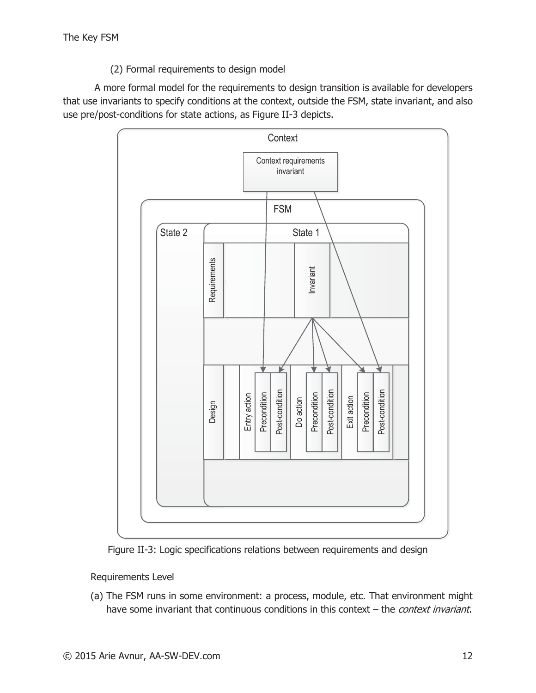(2) Formal requirements to design model

A more formal model for the requirements to design transition is available for developers that use invariants to specify conditions at the context, outside the FSM, state invariant, and also use pre/post-conditions for state actions, as Figure II-3 depicts.



Figure II-3: Logic specifications relations between requirements and design

Requirements Level

(a) The FSM runs in some environment: a process, module, etc. That environment might have some invariant that continuous conditions in this context – the *context invariant*.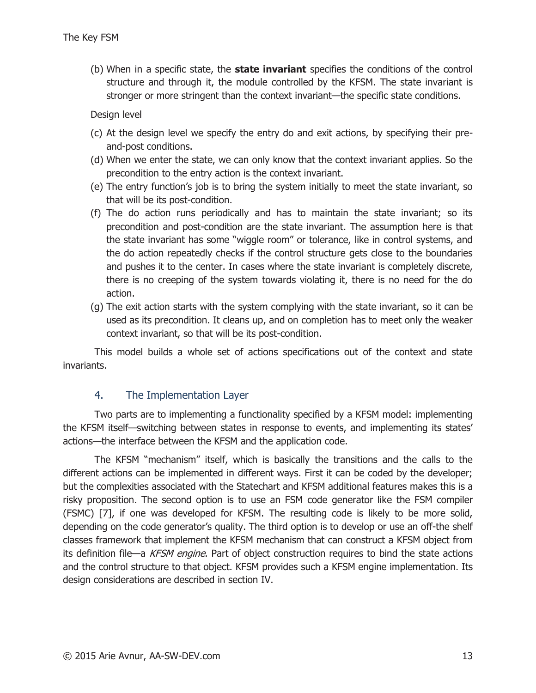(b) When in a specific state, the **state invariant** specifies the conditions of the control structure and through it, the module controlled by the KFSM. The state invariant is stronger or more stringent than the context invariant—the specific state conditions.

Design level

- (c) At the design level we specify the entry do and exit actions, by specifying their preand-post conditions.
- (d) When we enter the state, we can only know that the context invariant applies. So the precondition to the entry action is the context invariant.
- (e) The entry function's job is to bring the system initially to meet the state invariant, so that will be its post-condition.
- (f) The do action runs periodically and has to maintain the state invariant; so its precondition and post-condition are the state invariant. The assumption here is that the state invariant has some "wiggle room" or tolerance, like in control systems, and the do action repeatedly checks if the control structure gets close to the boundaries and pushes it to the center. In cases where the state invariant is completely discrete, there is no creeping of the system towards violating it, there is no need for the do action.
- (g) The exit action starts with the system complying with the state invariant, so it can be used as its precondition. It cleans up, and on completion has to meet only the weaker context invariant, so that will be its post-condition.

This model builds a whole set of actions specifications out of the context and state invariants.

#### 4. The Implementation Layer

Two parts are to implementing a functionality specified by a KFSM model: implementing the KFSM itself—switching between states in response to events, and implementing its states' actions—the interface between the KFSM and the application code.

The KFSM "mechanism" itself, which is basically the transitions and the calls to the different actions can be implemented in different ways. First it can be coded by the developer; but the complexities associated with the Statechart and KFSM additional features makes this is a risky proposition. The second option is to use an FSM code generator like the FSM compiler (FSMC) [7], if one was developed for KFSM. The resulting code is likely to be more solid, depending on the code generator's quality. The third option is to develop or use an off-the shelf classes framework that implement the KFSM mechanism that can construct a KFSM object from its definition file—a KFSM engine. Part of object construction requires to bind the state actions and the control structure to that object. KFSM provides such a KFSM engine implementation. Its design considerations are described in section IV.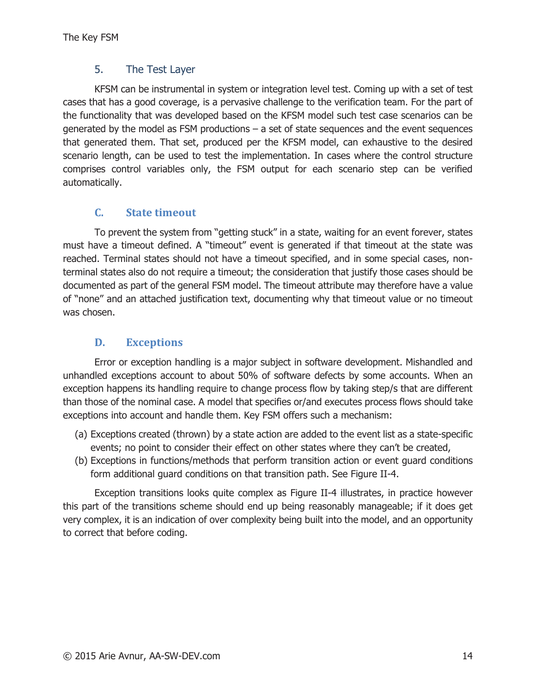#### 5. The Test Layer

KFSM can be instrumental in system or integration level test. Coming up with a set of test cases that has a good coverage, is a pervasive challenge to the verification team. For the part of the functionality that was developed based on the KFSM model such test case scenarios can be generated by the model as FSM productions – a set of state sequences and the event sequences that generated them. That set, produced per the KFSM model, can exhaustive to the desired scenario length, can be used to test the implementation. In cases where the control structure comprises control variables only, the FSM output for each scenario step can be verified automatically.

# **C. State timeout**

To prevent the system from "getting stuck" in a state, waiting for an event forever, states must have a timeout defined. A "timeout" event is generated if that timeout at the state was reached. Terminal states should not have a timeout specified, and in some special cases, nonterminal states also do not require a timeout; the consideration that justify those cases should be documented as part of the general FSM model. The timeout attribute may therefore have a value of "none" and an attached justification text, documenting why that timeout value or no timeout was chosen.

# **D. Exceptions**

Error or exception handling is a major subject in software development. Mishandled and unhandled exceptions account to about 50% of software defects by some accounts. When an exception happens its handling require to change process flow by taking step/s that are different than those of the nominal case. A model that specifies or/and executes process flows should take exceptions into account and handle them. Key FSM offers such a mechanism:

- (a) Exceptions created (thrown) by a state action are added to the event list as a state-specific events; no point to consider their effect on other states where they can't be created,
- (b) Exceptions in functions/methods that perform transition action or event guard conditions form additional guard conditions on that transition path. See Figure II-4.

Exception transitions looks quite complex as Figure II-4 illustrates, in practice however this part of the transitions scheme should end up being reasonably manageable; if it does get very complex, it is an indication of over complexity being built into the model, and an opportunity to correct that before coding.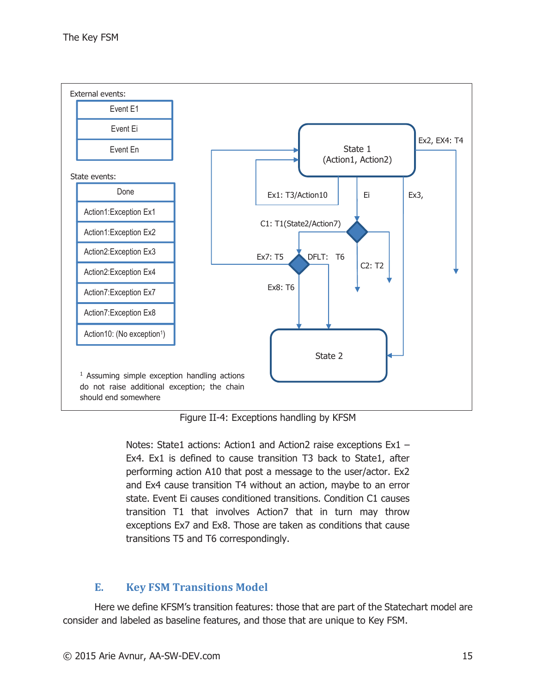

Figure II-4: Exceptions handling by KFSM

Notes: State1 actions: Action1 and Action2 raise exceptions Ex1 -Ex4. Ex1 is defined to cause transition T3 back to State1, after performing action A10 that post a message to the user/actor. Ex2 and Ex4 cause transition T4 without an action, maybe to an error state. Event Ei causes conditioned transitions. Condition C1 causes transition T1 that involves Action7 that in turn may throw exceptions Ex7 and Ex8. Those are taken as conditions that cause transitions T5 and T6 correspondingly.

# **E. Key FSM Transitions Model**

Here we define KFSM's transition features: those that are part of the Statechart model are consider and labeled as baseline features, and those that are unique to Key FSM.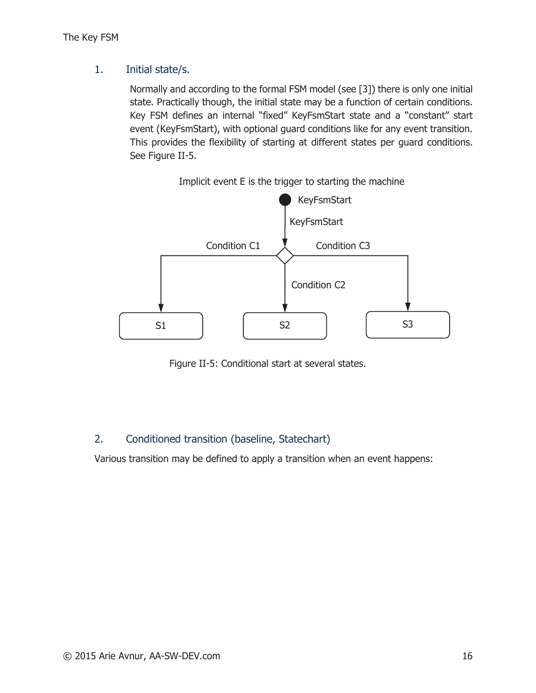#### 1. Initial state/s.

Normally and according to the formal FSM model (see [3]) there is only one initial state. Practically though, the initial state may be a function of certain conditions. Key FSM defines an internal "fixed" KeyFsmStart state and a "constant" start event (KeyFsmStart), with optional guard conditions like for any event transition. This provides the flexibility of starting at different states per guard conditions. See Figure II-5.



Implicit event E is the trigger to starting the machine

Figure II-5: Conditional start at several states.

# 2. Conditioned transition (baseline, Statechart)

Various transition may be defined to apply a transition when an event happens: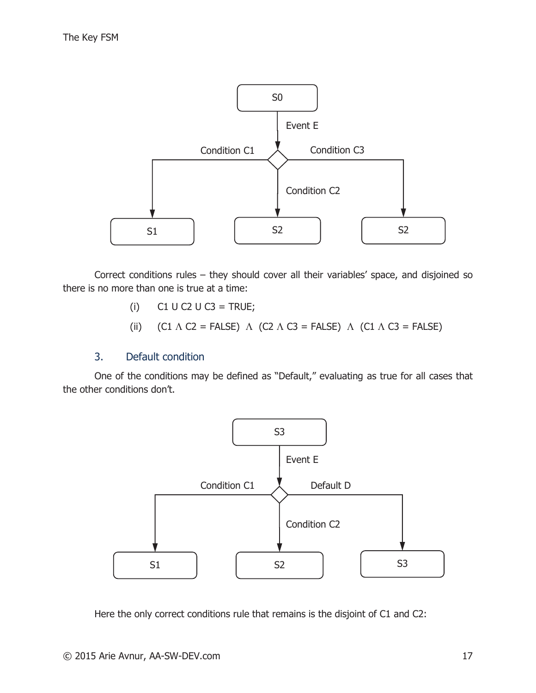

Correct conditions rules – they should cover all their variables' space, and disjoined so there is no more than one is true at a time:

- $(i)$  C1 U C2 U C3 = TRUE;
- (ii)  $(C1 \wedge C2 = \text{FALSE}) \wedge (C2 \wedge C3 = \text{FALSE}) \wedge (C1 \wedge C3 = \text{FALSE})$

#### 3. Default condition

One of the conditions may be defined as "Default," evaluating as true for all cases that the other conditions don't.



Here the only correct conditions rule that remains is the disjoint of C1 and C2: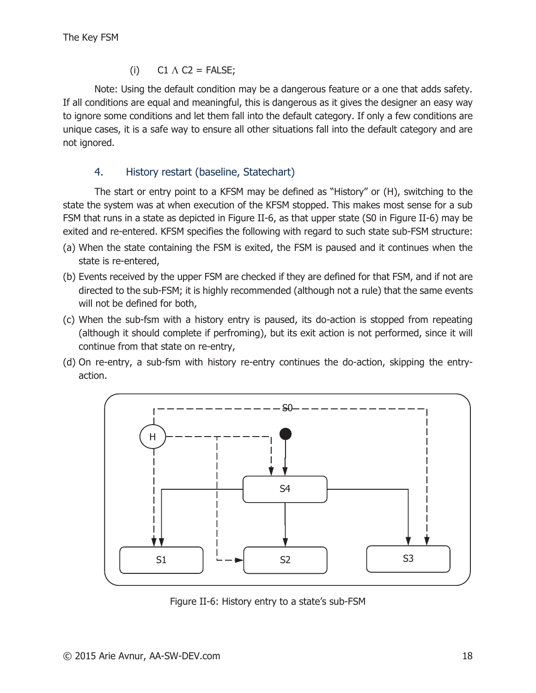(i)  $CI \wedge C2 = FALSE;$ 

Note: Using the default condition may be a dangerous feature or a one that adds safety. If all conditions are equal and meaningful, this is dangerous as it gives the designer an easy way to ignore some conditions and let them fall into the default category. If only a few conditions are unique cases, it is a safe way to ensure all other situations fall into the default category and are not ignored.

# 4. History restart (baseline, Statechart)

The start or entry point to a KFSM may be defined as "History" or (H), switching to the state the system was at when execution of the KFSM stopped. This makes most sense for a sub FSM that runs in a state as depicted in Figure II-6, as that upper state (S0 in Figure II-6) may be exited and re-entered. KFSM specifies the following with regard to such state sub-FSM structure:

- (a) When the state containing the FSM is exited, the FSM is paused and it continues when the state is re-entered,
- (b) Events received by the upper FSM are checked if they are defined for that FSM, and if not are directed to the sub-FSM; it is highly recommended (although not a rule) that the same events will not be defined for both,
- (c) When the sub-fsm with a history entry is paused, its do-action is stopped from repeating (although it should complete if perfroming), but its exit action is not performed, since it will continue from that state on re-entry,
- (d) On re-entry, a sub-fsm with history re-entry continues the do-action, skipping the entryaction.



Figure II-6: History entry to a state's sub-FSM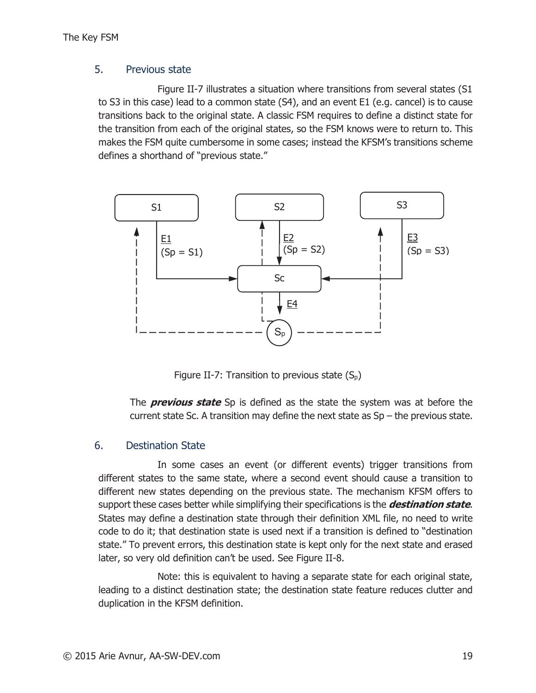#### 5. Previous state

Figure II-7 illustrates a situation where transitions from several states (S1 to S3 in this case) lead to a common state (S4), and an event E1 (e.g. cancel) is to cause transitions back to the original state. A classic FSM requires to define a distinct state for the transition from each of the original states, so the FSM knows were to return to. This makes the FSM quite cumbersome in some cases; instead the KFSM's transitions scheme defines a shorthand of "previous state."



Figure II-7: Transition to previous state  $(S_p)$ 

The **previous state** Sp is defined as the state the system was at before the current state Sc. A transition may define the next state as  $Sp$  – the previous state.

#### 6. Destination State

In some cases an event (or different events) trigger transitions from different states to the same state, where a second event should cause a transition to different new states depending on the previous state. The mechanism KFSM offers to support these cases better while simplifying their specifications is the **destination state**. States may define a destination state through their definition XML file, no need to write code to do it; that destination state is used next if a transition is defined to "destination state." To prevent errors, this destination state is kept only for the next state and erased later, so very old definition can't be used. See Figure II-8.

Note: this is equivalent to having a separate state for each original state, leading to a distinct destination state; the destination state feature reduces clutter and duplication in the KFSM definition.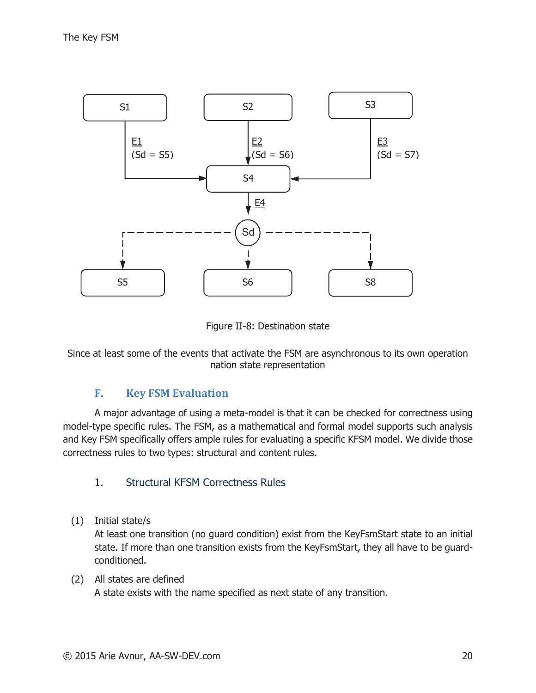

Figure II-8: Destination state

Since at least some of the events that activate the FSM are asynchronous to its own operation nation state representation

#### **F. Key FSM Evaluation**

A major advantage of using a meta-model is that it can be checked for correctness using model-type specific rules. The FSM, as a mathematical and formal model supports such analysis and Key FSM specifically offers ample rules for evaluating a specific KFSM model. We divide those correctness rules to two types: structural and content rules.

#### 1. Structural KFSM Correctness Rules

(1) Initial state/s

At least one transition (no guard condition) exist from the KeyFsmStart state to an initial state. If more than one transition exists from the KeyFsmStart, they all have to be guardconditioned.

(2) All states are defined A state exists with the name specified as next state of any transition.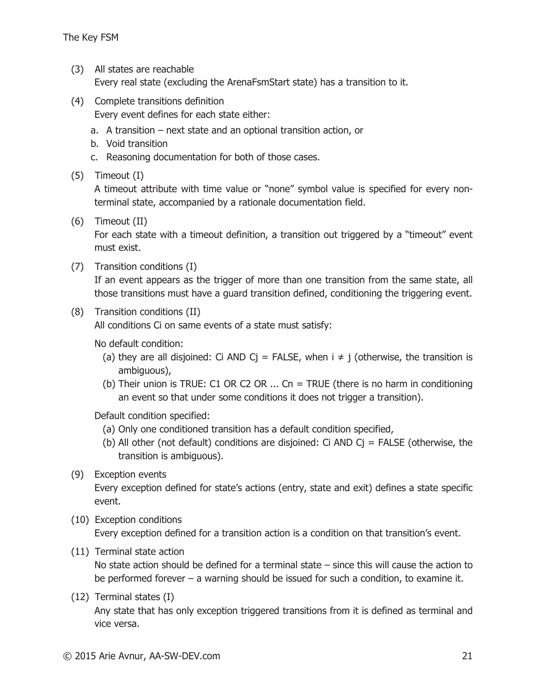(3) All states are reachable

Every real state (excluding the ArenaFsmStart state) has a transition to it.

(4) Complete transitions definition

Every event defines for each state either:

- a. A transition next state and an optional transition action, or
- b. Void transition
- c. Reasoning documentation for both of those cases.
- (5) Timeout (I)

A timeout attribute with time value or "none" symbol value is specified for every nonterminal state, accompanied by a rationale documentation field.

(6) Timeout (II)

For each state with a timeout definition, a transition out triggered by a "timeout" event must exist.

(7) Transition conditions (I)

If an event appears as the trigger of more than one transition from the same state, all those transitions must have a guard transition defined, conditioning the triggering event.

(8) Transition conditions (II)

All conditions Ci on same events of a state must satisfy:

No default condition:

- (a) they are all disjoined: Ci AND Cj = FALSE, when  $i \neq j$  (otherwise, the transition is ambiguous),
- (b) Their union is TRUE: C1 OR C2 OR ... Cn = TRUE (there is no harm in conditioning an event so that under some conditions it does not trigger a transition).

Default condition specified:

- (a) Only one conditioned transition has a default condition specified,
- (b) All other (not default) conditions are disjoined: Ci AND Cj = FALSE (otherwise, the transition is ambiguous).
- (9) Exception events

Every exception defined for state's actions (entry, state and exit) defines a state specific event.

(10) Exception conditions

Every exception defined for a transition action is a condition on that transition's event.

(11) Terminal state action

No state action should be defined for a terminal state – since this will cause the action to be performed forever – a warning should be issued for such a condition, to examine it.

(12) Terminal states (I)

Any state that has only exception triggered transitions from it is defined as terminal and vice versa.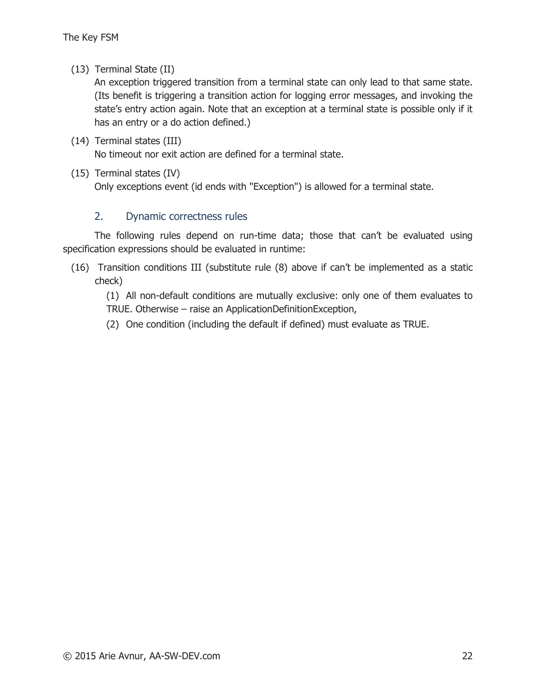(13) Terminal State (II)

An exception triggered transition from a terminal state can only lead to that same state. (Its benefit is triggering a transition action for logging error messages, and invoking the state's entry action again. Note that an exception at a terminal state is possible only if it has an entry or a do action defined.)

- (14) Terminal states (III) No timeout nor exit action are defined for a terminal state.
- (15) Terminal states (IV)

Only exceptions event (id ends with "Exception") is allowed for a terminal state.

#### 2. Dynamic correctness rules

The following rules depend on run-time data; those that can't be evaluated using specification expressions should be evaluated in runtime:

(16) Transition conditions III (substitute rule (8) above if can't be implemented as a static check)

(1) All non-default conditions are mutually exclusive: only one of them evaluates to TRUE. Otherwise – raise an ApplicationDefinitionException,

(2) One condition (including the default if defined) must evaluate as TRUE.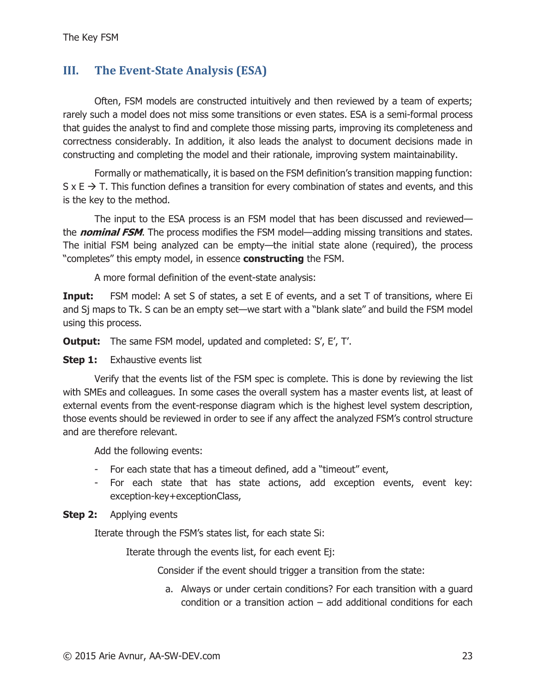# **III. The Event-State Analysis (ESA)**

Often, FSM models are constructed intuitively and then reviewed by a team of experts; rarely such a model does not miss some transitions or even states. ESA is a semi-formal process that guides the analyst to find and complete those missing parts, improving its completeness and correctness considerably. In addition, it also leads the analyst to document decisions made in constructing and completing the model and their rationale, improving system maintainability.

Formally or mathematically, it is based on the FSM definition's transition mapping function:  $S \times E \rightarrow T$ . This function defines a transition for every combination of states and events, and this is the key to the method.

The input to the ESA process is an FSM model that has been discussed and reviewed the **nominal FSM**. The process modifies the FSM model—adding missing transitions and states. The initial FSM being analyzed can be empty—the initial state alone (required), the process "completes" this empty model, in essence **constructing** the FSM.

A more formal definition of the event-state analysis:

**Input:** FSM model: A set S of states, a set E of events, and a set T of transitions, where Ei and Sj maps to Tk. S can be an empty set—we start with a "blank slate" and build the FSM model using this process.

**Output:** The same FSM model, updated and completed: S', E', T'.

#### **Step 1:** Exhaustive events list

Verify that the events list of the FSM spec is complete. This is done by reviewing the list with SMEs and colleagues. In some cases the overall system has a master events list, at least of external events from the event-response diagram which is the highest level system description, those events should be reviewed in order to see if any affect the analyzed FSM's control structure and are therefore relevant.

Add the following events:

- For each state that has a timeout defined, add a "timeout" event,
- For each state that has state actions, add exception events, event key: exception-key+exceptionClass,

#### **Step 2:** Applying events

Iterate through the FSM's states list, for each state Si:

Iterate through the events list, for each event Ej:

Consider if the event should trigger a transition from the state:

a. Always or under certain conditions? For each transition with a guard condition or a transition action – add additional conditions for each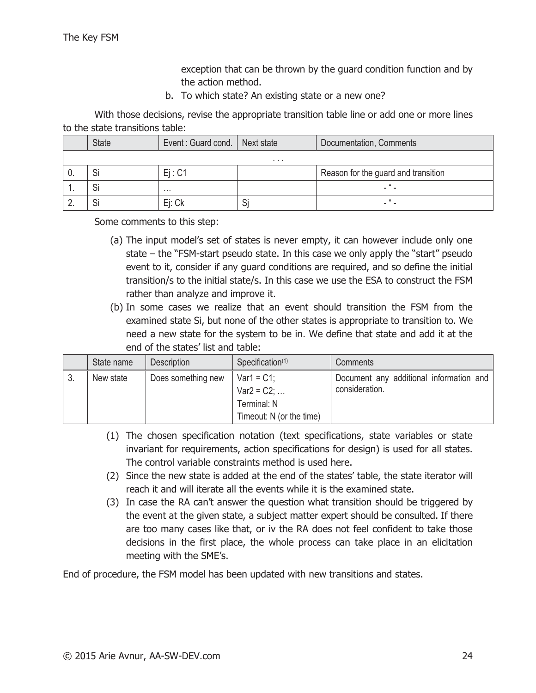exception that can be thrown by the guard condition function and by the action method.

b. To which state? An existing state or a new one?

With those decisions, revise the appropriate transition table line or add one or more lines to the state transitions table:

|          | <b>State</b> | Event: Guard cond.   Next state |   | Documentation, Comments             |  |  |
|----------|--------------|---------------------------------|---|-------------------------------------|--|--|
|          | .            |                                 |   |                                     |  |  |
| v.       |              | Ei: C1                          |   | Reason for the guard and transition |  |  |
| . .      |              | $\cdots$                        |   |                                     |  |  |
| <u>.</u> |              | Ei: Ck                          | ٮ |                                     |  |  |

Some comments to this step:

- (a) The input model's set of states is never empty, it can however include only one state – the "FSM-start pseudo state. In this case we only apply the "start" pseudo event to it, consider if any guard conditions are required, and so define the initial transition/s to the initial state/s. In this case we use the ESA to construct the FSM rather than analyze and improve it.
- (b) In some cases we realize that an event should transition the FSM from the examined state Si, but none of the other states is appropriate to transition to. We need a new state for the system to be in. We define that state and add it at the end of the states' list and table:

| State name | <b>Description</b> | Specification <sup>(1)</sup>                                              | Comments                                                  |
|------------|--------------------|---------------------------------------------------------------------------|-----------------------------------------------------------|
| New state  | Does something new | $Var1 = C1$ :<br>$Var2 = C2$ ;<br>Terminal: N<br>Timeout: N (or the time) | Document any additional information and<br>consideration. |

- (1) The chosen specification notation (text specifications, state variables or state invariant for requirements, action specifications for design) is used for all states. The control variable constraints method is used here.
- (2) Since the new state is added at the end of the states' table, the state iterator will reach it and will iterate all the events while it is the examined state.
- (3) In case the RA can't answer the question what transition should be triggered by the event at the given state, a subject matter expert should be consulted. If there are too many cases like that, or iv the RA does not feel confident to take those decisions in the first place, the whole process can take place in an elicitation meeting with the SME's.

End of procedure, the FSM model has been updated with new transitions and states.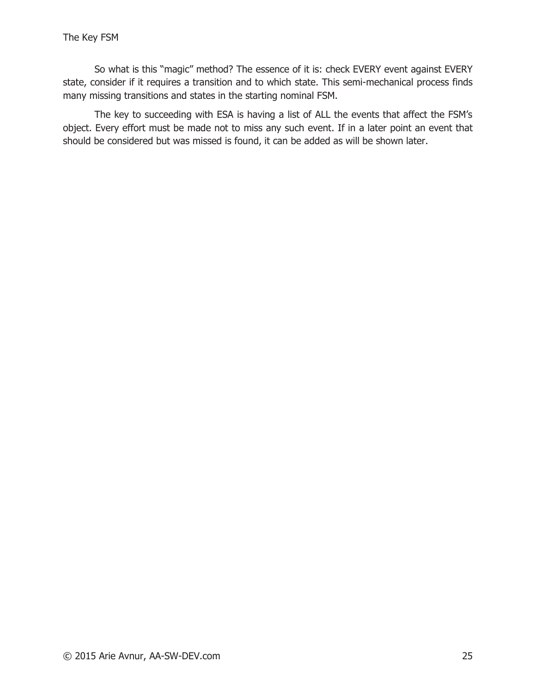So what is this "magic" method? The essence of it is: check EVERY event against EVERY state, consider if it requires a transition and to which state. This semi-mechanical process finds many missing transitions and states in the starting nominal FSM.

The key to succeeding with ESA is having a list of ALL the events that affect the FSM's object. Every effort must be made not to miss any such event. If in a later point an event that should be considered but was missed is found, it can be added as will be shown later.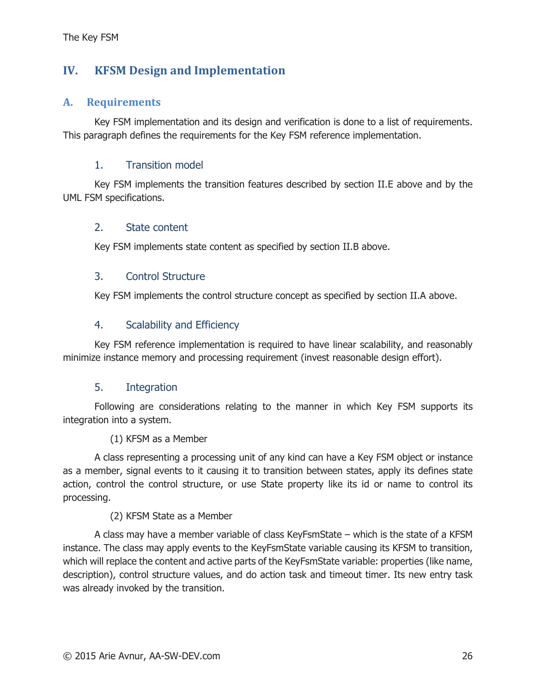# **IV. KFSM Design and Implementation**

## **A. Requirements**

Key FSM implementation and its design and verification is done to a list of requirements. This paragraph defines the requirements for the Key FSM reference implementation.

## 1. Transition model

Key FSM implements the transition features described by section II.E above and by the UML FSM specifications.

#### 2. State content

Key FSM implements state content as specified by section II.B above.

#### 3. Control Structure

Key FSM implements the control structure concept as specified by section II.A above.

#### 4. Scalability and Efficiency

Key FSM reference implementation is required to have linear scalability, and reasonably minimize instance memory and processing requirement (invest reasonable design effort).

#### 5. Integration

Following are considerations relating to the manner in which Key FSM supports its integration into a system.

#### (1) KFSM as a Member

A class representing a processing unit of any kind can have a Key FSM object or instance as a member, signal events to it causing it to transition between states, apply its defines state action, control the control structure, or use State property like its id or name to control its processing.

#### (2) KFSM State as a Member

A class may have a member variable of class KeyFsmState – which is the state of a KFSM instance. The class may apply events to the KeyFsmState variable causing its KFSM to transition, which will replace the content and active parts of the KeyFsmState variable: properties (like name, description), control structure values, and do action task and timeout timer. Its new entry task was already invoked by the transition.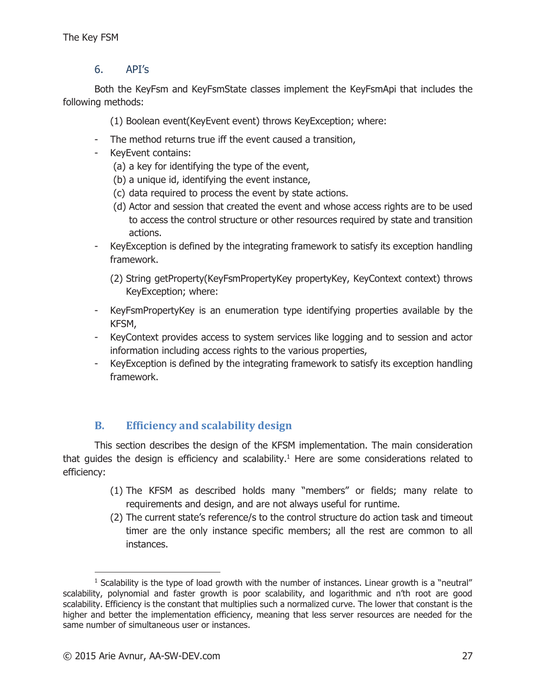## 6. API's

Both the KeyFsm and KeyFsmState classes implement the KeyFsmApi that includes the following methods:

(1) Boolean event(KeyEvent event) throws KeyException; where:

- The method returns true iff the event caused a transition,
- KeyEvent contains:
	- (a) a key for identifying the type of the event,
	- (b) a unique id, identifying the event instance,
	- (c) data required to process the event by state actions.
	- (d) Actor and session that created the event and whose access rights are to be used to access the control structure or other resources required by state and transition actions.
- KeyException is defined by the integrating framework to satisfy its exception handling framework.
	- (2) String getProperty(KeyFsmPropertyKey propertyKey, KeyContext context) throws KeyException; where:
- KeyFsmPropertyKey is an enumeration type identifying properties available by the KFSM,
- KeyContext provides access to system services like logging and to session and actor information including access rights to the various properties,
- KeyException is defined by the integrating framework to satisfy its exception handling framework.

# **B. Efficiency and scalability design**

This section describes the design of the KFSM implementation. The main consideration that guides the design is efficiency and scalability.<sup>1</sup> Here are some considerations related to efficiency:

- (1) The KFSM as described holds many "members" or fields; many relate to requirements and design, and are not always useful for runtime.
- (2) The current state's reference/s to the control structure do action task and timeout timer are the only instance specific members; all the rest are common to all instances.

 $\overline{a}$ 

 $<sup>1</sup>$  Scalability is the type of load growth with the number of instances. Linear growth is a "neutral"</sup> scalability, polynomial and faster growth is poor scalability, and logarithmic and n'th root are good scalability. Efficiency is the constant that multiplies such a normalized curve. The lower that constant is the higher and better the implementation efficiency, meaning that less server resources are needed for the same number of simultaneous user or instances.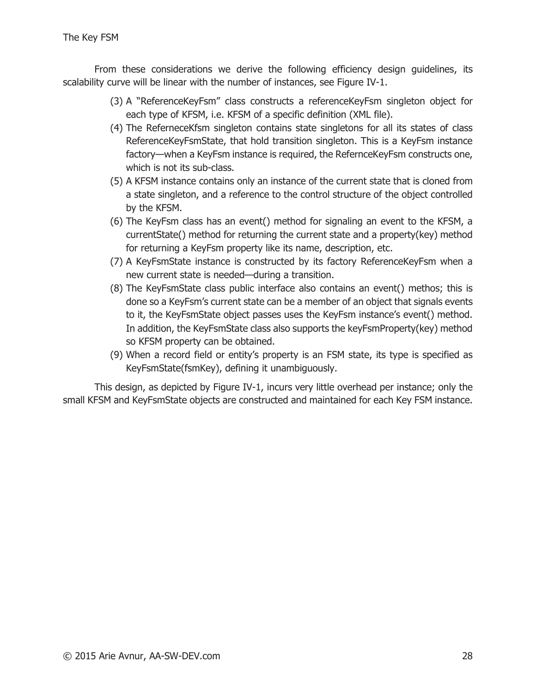From these considerations we derive the following efficiency design guidelines, its scalability curve will be linear with the number of instances, see Figure IV-1.

- (3) A "ReferenceKeyFsm" class constructs a referenceKeyFsm singleton object for each type of KFSM, i.e. KFSM of a specific definition (XML file).
- (4) The ReferneceKfsm singleton contains state singletons for all its states of class ReferenceKeyFsmState, that hold transition singleton. This is a KeyFsm instance factory—when a KeyFsm instance is required, the RefernceKeyFsm constructs one, which is not its sub-class.
- (5) A KFSM instance contains only an instance of the current state that is cloned from a state singleton, and a reference to the control structure of the object controlled by the KFSM.
- (6) The KeyFsm class has an event() method for signaling an event to the KFSM, a currentState() method for returning the current state and a property(key) method for returning a KeyFsm property like its name, description, etc.
- (7) A KeyFsmState instance is constructed by its factory ReferenceKeyFsm when a new current state is needed—during a transition.
- (8) The KeyFsmState class public interface also contains an event() methos; this is done so a KeyFsm's current state can be a member of an object that signals events to it, the KeyFsmState object passes uses the KeyFsm instance's event() method. In addition, the KeyFsmState class also supports the keyFsmProperty(key) method so KFSM property can be obtained.
- (9) When a record field or entity's property is an FSM state, its type is specified as KeyFsmState(fsmKey), defining it unambiguously.

This design, as depicted by Figure IV-1, incurs very little overhead per instance; only the small KFSM and KeyFsmState objects are constructed and maintained for each Key FSM instance.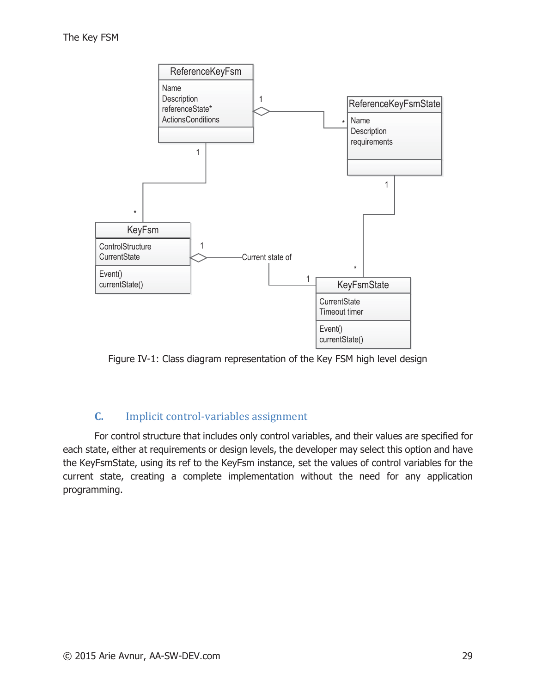

Figure IV-1: Class diagram representation of the Key FSM high level design

#### **C.** Implicit control-variables assignment

For control structure that includes only control variables, and their values are specified for each state, either at requirements or design levels, the developer may select this option and have the KeyFsmState, using its ref to the KeyFsm instance, set the values of control variables for the current state, creating a complete implementation without the need for any application programming.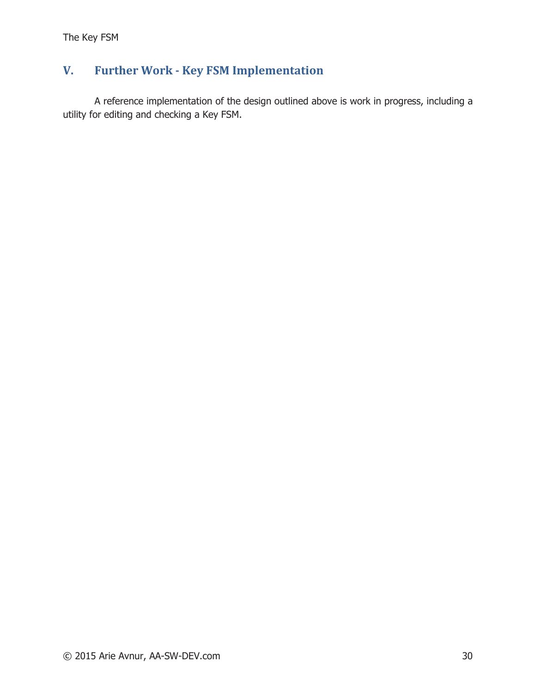# **V. Further Work - Key FSM Implementation**

A reference implementation of the design outlined above is work in progress, including a utility for editing and checking a Key FSM.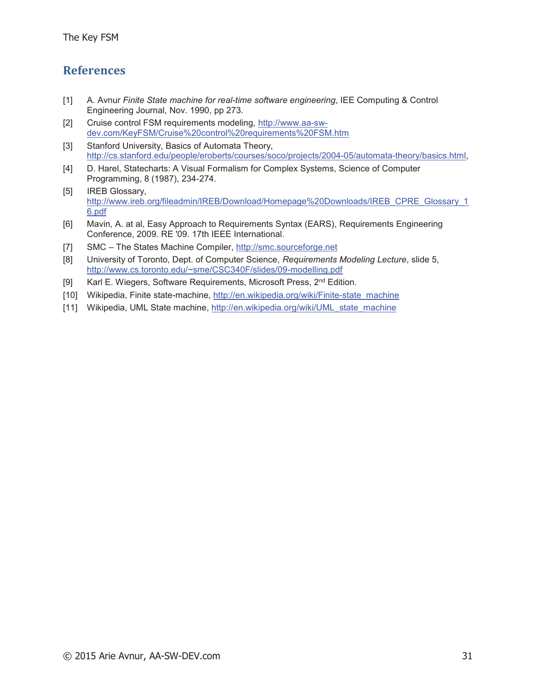# **References**

- [1] A. Avnur Finite State machine for real-time software engineering, IEE Computing & Control Engineering Journal, Nov. 1990, pp 273.
- [2] Cruise control FSM requirements modeling, http://www.aa-swdev.com/KeyFSM/Cruise%20control%20requirements%20FSM.htm
- [3] Stanford University, Basics of Automata Theory, http://cs.stanford.edu/people/eroberts/courses/soco/projects/2004-05/automata-theory/basics.html,
- [4] D. Harel, Statecharts: A Visual Formalism for Complex Systems, Science of Computer Programming, 8 (1987), 234-274.
- [5] IREB Glossary, http://www.ireb.org/fileadmin/IREB/Download/Homepage%20Downloads/IREB\_CPRE\_Glossary\_1 6.pdf
- [6] Mavin, A. at al, Easy Approach to Requirements Syntax (EARS), Requirements Engineering Conference, 2009. RE '09. 17th IEEE International.
- [7] SMC The States Machine Compiler, http://smc.sourceforge.net
- [8] University of Toronto, Dept. of Computer Science, Requirements Modeling Lecture, slide 5, http://www.cs.toronto.edu/~sme/CSC340F/slides/09-modelling.pdf
- [9] Karl E. Wiegers, Software Requirements, Microsoft Press, 2<sup>nd</sup> Edition.
- [10] Wikipedia, Finite state-machine, http://en.wikipedia.org/wiki/Finite-state machine
- [11] Wikipedia, UML State machine, http://en.wikipedia.org/wiki/UML state machine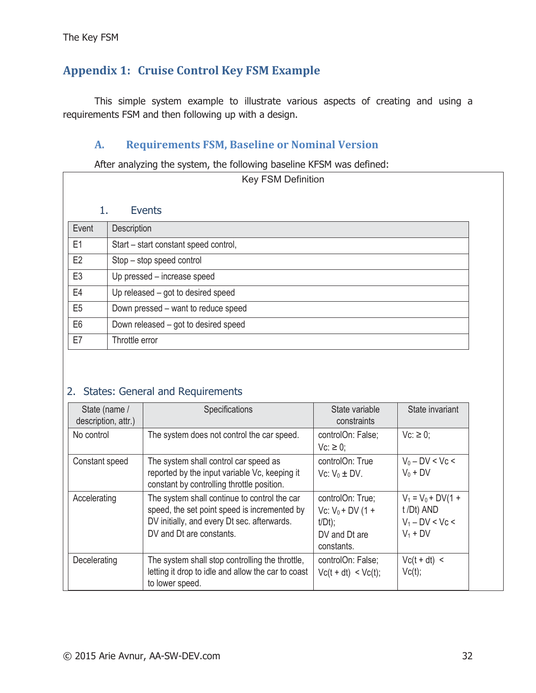# **Appendix 1: Cruise Control Key FSM Example**

This simple system example to illustrate various aspects of creating and using a requirements FSM and then following up with a design.

## **A. Requirements FSM, Baseline or Nominal Version**

After analyzing the system, the following baseline KFSM was defined:

| Key FSM Definition |                                       |  |  |  |  |
|--------------------|---------------------------------------|--|--|--|--|
|                    |                                       |  |  |  |  |
| 1.                 | Events                                |  |  |  |  |
| Event              | Description                           |  |  |  |  |
| E1                 | Start - start constant speed control, |  |  |  |  |
| E <sub>2</sub>     | Stop – stop speed control             |  |  |  |  |
| E <sub>3</sub>     | Up pressed - increase speed           |  |  |  |  |
| E4                 | Up released - got to desired speed    |  |  |  |  |
| E <sub>5</sub>     | Down pressed – want to reduce speed   |  |  |  |  |
| E <sub>6</sub>     | Down released – got to desired speed  |  |  |  |  |
| E7                 | Throttle error                        |  |  |  |  |

# 2. States: General and Requirements

| State (name /<br>description, attr.) | Specifications                                                                                                                                                          | State variable<br>constraints                                                      | State invariant                                                       |
|--------------------------------------|-------------------------------------------------------------------------------------------------------------------------------------------------------------------------|------------------------------------------------------------------------------------|-----------------------------------------------------------------------|
| No control                           | The system does not control the car speed.                                                                                                                              | controlOn: False;<br>$Vc: \geq 0$ ;                                                | $Vc: \geq 0$ ;                                                        |
| Constant speed                       | The system shall control car speed as<br>reported by the input variable Vc, keeping it<br>constant by controlling throttle position.                                    | controlOn: True<br>Vc: $V_0 \pm DV$ .                                              | $V_0 - DV < Vc <$<br>$V_0 + DV$                                       |
| Accelerating                         | The system shall continue to control the car<br>speed, the set point speed is incremented by<br>DV initially, and every Dt sec. afterwards.<br>DV and Dt are constants. | controlOn: True;<br>Vc: $V_0 + DV$ (1 +<br>$t/Dt$ ;<br>DV and Dt are<br>constants. | $V_1 = V_0 + DV(1 +$<br>t /Dt) AND<br>$V_1 - DV < Vc <$<br>$V_1 + DV$ |
| Decelerating                         | The system shall stop controlling the throttle,<br>letting it drop to idle and allow the car to coast<br>to lower speed.                                                | controlOn: False;<br>$Vc(t + dt) < Vc(t);$                                         | $Vc(t + dt)$ <<br>Vc(t);                                              |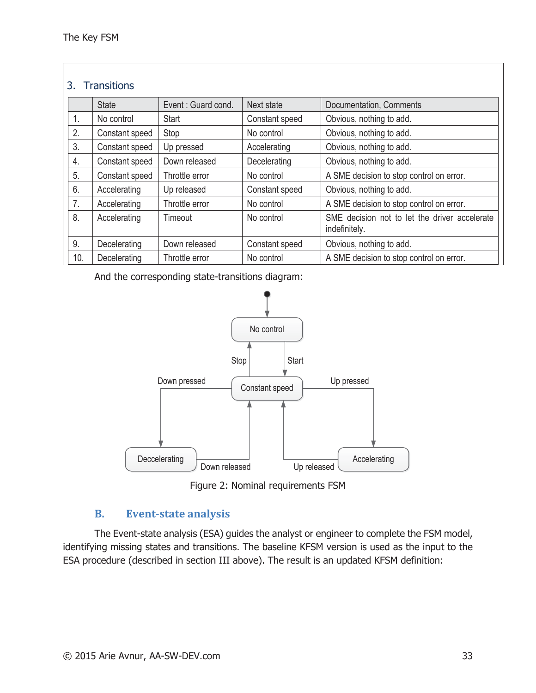#### 3. Transitions

|     | <b>State</b>   | Event: Guard cond. | Next state     | Documentation, Comments                                        |
|-----|----------------|--------------------|----------------|----------------------------------------------------------------|
| 1.  | No control     | <b>Start</b>       | Constant speed | Obvious, nothing to add.                                       |
| 2.  | Constant speed | Stop               | No control     | Obvious, nothing to add.                                       |
| 3.  | Constant speed | Up pressed         | Accelerating   | Obvious, nothing to add.                                       |
| 4.  | Constant speed | Down released      | Decelerating   | Obvious, nothing to add.                                       |
| 5.  | Constant speed | Throttle error     | No control     | A SME decision to stop control on error.                       |
| 6.  | Accelerating   | Up released        | Constant speed | Obvious, nothing to add.                                       |
| 7.  | Accelerating   | Throttle error     | No control     | A SME decision to stop control on error.                       |
| 8.  | Accelerating   | Timeout            | No control     | SME decision not to let the driver accelerate<br>indefinitely. |
| 9.  | Decelerating   | Down released      | Constant speed | Obvious, nothing to add.                                       |
| 10. | Decelerating   | Throttle error     | No control     | A SME decision to stop control on error.                       |

And the corresponding state-transitions diagram:





#### **B. Event-state analysis**

The Event-state analysis (ESA) guides the analyst or engineer to complete the FSM model, identifying missing states and transitions. The baseline KFSM version is used as the input to the ESA procedure (described in section III above). The result is an updated KFSM definition: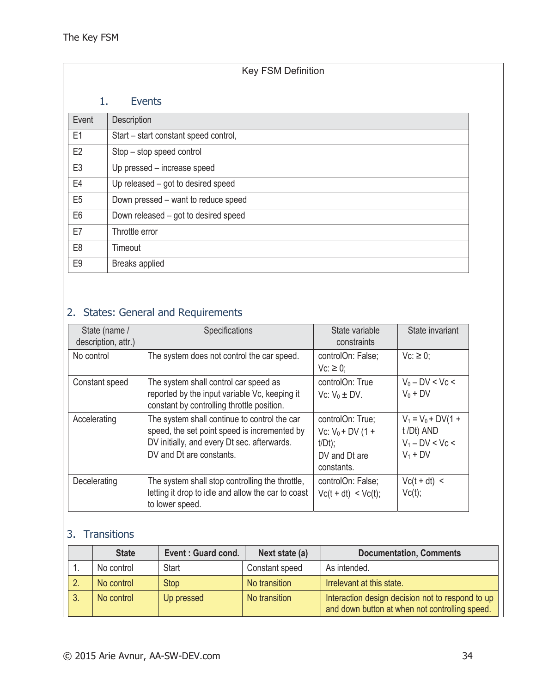| <b>Key FSM Definition</b> |                                       |  |  |  |  |
|---------------------------|---------------------------------------|--|--|--|--|
|                           | 1.<br>Events                          |  |  |  |  |
| Event                     | Description                           |  |  |  |  |
| E1                        | Start - start constant speed control, |  |  |  |  |
| E <sub>2</sub>            | Stop - stop speed control             |  |  |  |  |
| E <sub>3</sub>            | Up pressed - increase speed           |  |  |  |  |
| E4                        | Up released – got to desired speed    |  |  |  |  |
| E <sub>5</sub>            | Down pressed – want to reduce speed   |  |  |  |  |
| E <sub>6</sub>            | Down released - got to desired speed  |  |  |  |  |
| E7                        | Throttle error                        |  |  |  |  |
| E <sub>8</sub>            | Timeout                               |  |  |  |  |
| E <sub>9</sub>            | Breaks applied                        |  |  |  |  |

# 2. States: General and Requirements

| State (name /<br>description, attr.) | Specifications                                                                                                                                                          | State variable<br>constraints                                                      | State invariant                                                       |
|--------------------------------------|-------------------------------------------------------------------------------------------------------------------------------------------------------------------------|------------------------------------------------------------------------------------|-----------------------------------------------------------------------|
| No control                           | The system does not control the car speed.                                                                                                                              | controlOn: False;<br>$Vc: \geq 0$ ;                                                | $Vc: \geq 0$ ;                                                        |
| Constant speed                       | The system shall control car speed as<br>reported by the input variable Vc, keeping it<br>constant by controlling throttle position.                                    | controlOn: True<br>Vc: $V_0 \pm DV$ .                                              | $V_0 - DV < Vc <$<br>$V_0 + DV$                                       |
| Accelerating                         | The system shall continue to control the car<br>speed, the set point speed is incremented by<br>DV initially, and every Dt sec. afterwards.<br>DV and Dt are constants. | controlOn: True;<br>Vc: $V_0 + DV$ (1 +<br>$t/Dt$ ;<br>DV and Dt are<br>constants. | $V_1 = V_0 + DV(1 +$<br>t /Dt) AND<br>$V_1 - DV < Vc <$<br>$V_1 + DV$ |
| Decelerating                         | The system shall stop controlling the throttle,<br>letting it drop to idle and allow the car to coast<br>to lower speed.                                                | controlOn: False;<br>$Vc(t + dt) < Vc(t);$                                         | $Vc(t + dt)$ <<br>Vc(t);                                              |

# 3. Transitions

|    | <b>State</b> | Event: Guard cond. | Next state (a) | <b>Documentation, Comments</b>                                                                     |
|----|--------------|--------------------|----------------|----------------------------------------------------------------------------------------------------|
|    | No control   | <b>Start</b>       | Constant speed | As intended.                                                                                       |
| 2. | No control   | <b>Stop</b>        | No transition  | Irrelevant at this state.                                                                          |
| 3. | No control   | Up pressed         | No transition  | Interaction design decision not to respond to up<br>and down button at when not controlling speed. |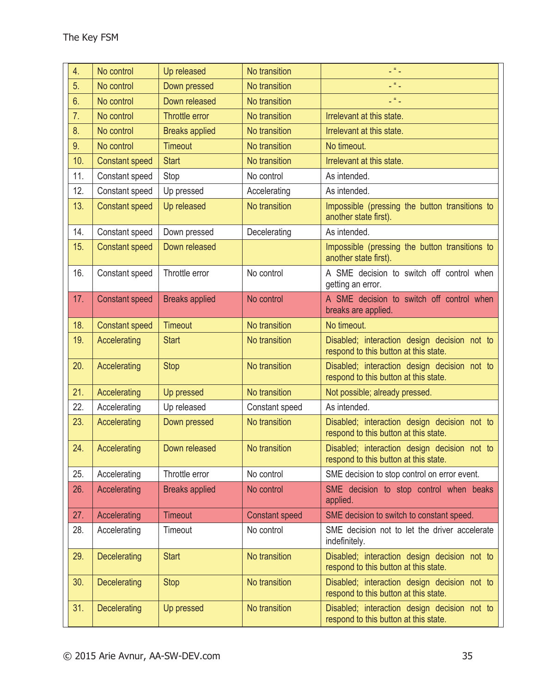| 4.  | No control            | Up released           | No transition         | $\mathbb{Z}^{ H }$                                                                    |
|-----|-----------------------|-----------------------|-----------------------|---------------------------------------------------------------------------------------|
| 5.  | No control            | Down pressed          | No transition         | $\mathbb{L}^{(R)}$ .                                                                  |
| 6.  | No control            | Down released         | No transition         | $\mathbb{L}^{(R)}$ .                                                                  |
| 7.  | No control            | Throttle error        | No transition         | Irrelevant at this state.                                                             |
| 8.  | No control            | <b>Breaks applied</b> | No transition         | Irrelevant at this state.                                                             |
| 9.  | No control            | <b>Timeout</b>        | No transition         | No timeout.                                                                           |
| 10. | <b>Constant speed</b> | <b>Start</b>          | No transition         | Irrelevant at this state.                                                             |
| 11. | Constant speed        | Stop                  | No control            | As intended.                                                                          |
| 12. | Constant speed        | Up pressed            | Accelerating          | As intended.                                                                          |
| 13. | <b>Constant speed</b> | Up released           | No transition         | Impossible (pressing the button transitions to<br>another state first).               |
| 14. | Constant speed        | Down pressed          | Decelerating          | As intended.                                                                          |
| 15. | <b>Constant speed</b> | Down released         |                       | Impossible (pressing the button transitions to<br>another state first).               |
| 16. | Constant speed        | Throttle error        | No control            | A SME decision to switch off control when<br>getting an error.                        |
| 17. | <b>Constant speed</b> | <b>Breaks applied</b> | No control            | A SME decision to switch off control when<br>breaks are applied.                      |
| 18. | <b>Constant speed</b> | <b>Timeout</b>        | No transition         | No timeout.                                                                           |
| 19. | Accelerating          | <b>Start</b>          | No transition         | Disabled; interaction design decision not to<br>respond to this button at this state. |
| 20. | Accelerating          | <b>Stop</b>           | No transition         | Disabled; interaction design decision not to<br>respond to this button at this state. |
| 21. | Accelerating          | Up pressed            | No transition         | Not possible; already pressed.                                                        |
| 22. | Accelerating          | Up released           | Constant speed        | As intended.                                                                          |
| 23. | Accelerating          | Down pressed          | No transition         | Disabled; interaction design decision not to<br>respond to this button at this state. |
| 24. | Accelerating          | Down released         | No transition         | Disabled; interaction design decision not to<br>respond to this button at this state. |
| 25. | Accelerating          | Throttle error        | No control            | SME decision to stop control on error event.                                          |
| 26. | Accelerating          | <b>Breaks applied</b> | No control            | SME decision to stop control when beaks<br>applied.                                   |
| 27. | Accelerating          | <b>Timeout</b>        | <b>Constant speed</b> | SME decision to switch to constant speed.                                             |
| 28. | Accelerating          | Timeout               | No control            | SME decision not to let the driver accelerate<br>indefinitely.                        |
| 29. | <b>Decelerating</b>   | <b>Start</b>          | No transition         | Disabled; interaction design decision not to<br>respond to this button at this state. |
| 30. | <b>Decelerating</b>   | <b>Stop</b>           | No transition         | Disabled; interaction design decision not to<br>respond to this button at this state. |
| 31. | <b>Decelerating</b>   | Up pressed            | No transition         | Disabled; interaction design decision not to<br>respond to this button at this state. |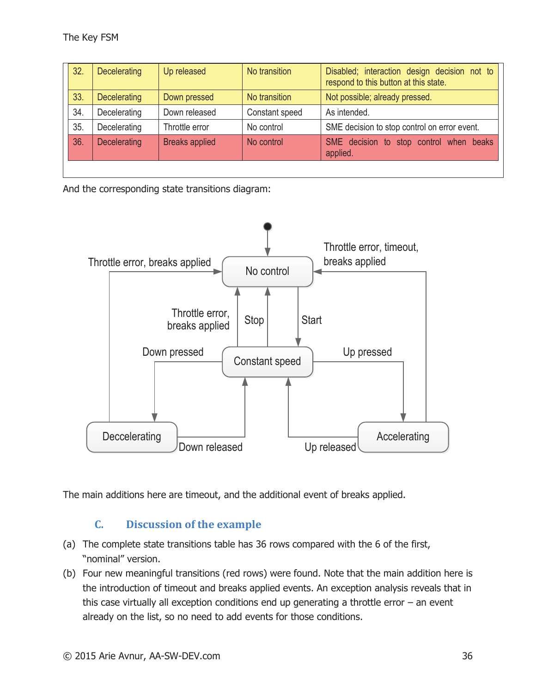| 32. | Decelerating | Up released           | No transition  | Disabled; interaction design decision not to<br>respond to this button at this state. |
|-----|--------------|-----------------------|----------------|---------------------------------------------------------------------------------------|
| 33. | Decelerating | Down pressed          | No transition  | Not possible; already pressed.                                                        |
| 34. | Decelerating | Down released         | Constant speed | As intended.                                                                          |
| 35. | Decelerating | Throttle error        | No control     | SME decision to stop control on error event.                                          |
| 36. | Decelerating | <b>Breaks applied</b> | No control     | SME decision to stop control when beaks<br>applied.                                   |
|     |              |                       |                |                                                                                       |

And the corresponding state transitions diagram:



The main additions here are timeout, and the additional event of breaks applied.

# **C. Discussion of the example**

- (a) The complete state transitions table has 36 rows compared with the 6 of the first, "nominal" version.
- (b) Four new meaningful transitions (red rows) were found. Note that the main addition here is the introduction of timeout and breaks applied events. An exception analysis reveals that in this case virtually all exception conditions end up generating a throttle error  $-$  an event already on the list, so no need to add events for those conditions.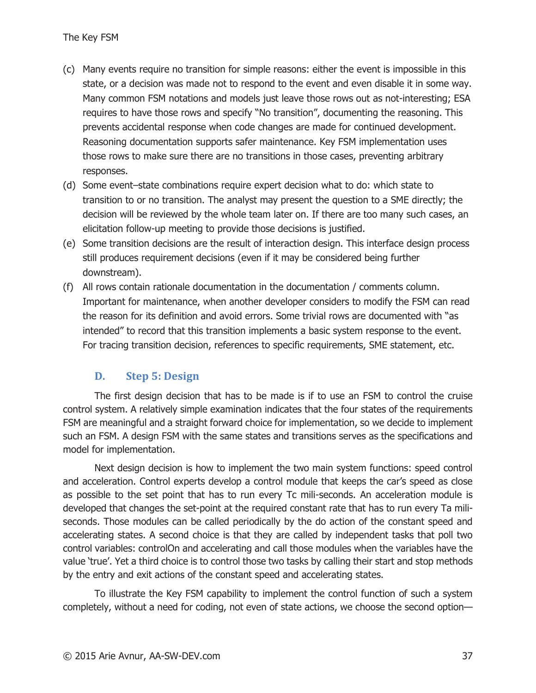- (c) Many events require no transition for simple reasons: either the event is impossible in this state, or a decision was made not to respond to the event and even disable it in some way. Many common FSM notations and models just leave those rows out as not-interesting; ESA requires to have those rows and specify "No transition", documenting the reasoning. This prevents accidental response when code changes are made for continued development. Reasoning documentation supports safer maintenance. Key FSM implementation uses those rows to make sure there are no transitions in those cases, preventing arbitrary responses.
- (d) Some event–state combinations require expert decision what to do: which state to transition to or no transition. The analyst may present the question to a SME directly; the decision will be reviewed by the whole team later on. If there are too many such cases, an elicitation follow-up meeting to provide those decisions is justified.
- (e) Some transition decisions are the result of interaction design. This interface design process still produces requirement decisions (even if it may be considered being further downstream).
- (f) All rows contain rationale documentation in the documentation / comments column. Important for maintenance, when another developer considers to modify the FSM can read the reason for its definition and avoid errors. Some trivial rows are documented with "as intended" to record that this transition implements a basic system response to the event. For tracing transition decision, references to specific requirements, SME statement, etc.

#### **D. Step 5: Design**

The first design decision that has to be made is if to use an FSM to control the cruise control system. A relatively simple examination indicates that the four states of the requirements FSM are meaningful and a straight forward choice for implementation, so we decide to implement such an FSM. A design FSM with the same states and transitions serves as the specifications and model for implementation.

Next design decision is how to implement the two main system functions: speed control and acceleration. Control experts develop a control module that keeps the car's speed as close as possible to the set point that has to run every Tc mili-seconds. An acceleration module is developed that changes the set-point at the required constant rate that has to run every Ta miliseconds. Those modules can be called periodically by the do action of the constant speed and accelerating states. A second choice is that they are called by independent tasks that poll two control variables: controlOn and accelerating and call those modules when the variables have the value 'true'. Yet a third choice is to control those two tasks by calling their start and stop methods by the entry and exit actions of the constant speed and accelerating states.

To illustrate the Key FSM capability to implement the control function of such a system completely, without a need for coding, not even of state actions, we choose the second option—